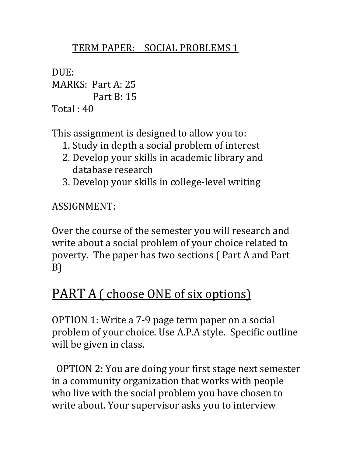## TERM PAPER: SOCIAL PROBLEMS 1

DUE: MARKS: Part A: 25 Part B: 15  $Total: 40$ 

This assignment is designed to allow you to:

- 1. Study in depth a social problem of interest
- 2. Develop your skills in academic library and database research
- 3. Develop your skills in college-level writing

ASSIGNMENT:

Over the course of the semester you will research and write about a social problem of your choice related to poverty. The paper has two sections ( Part A and Part B)

## PART A ( choose ONE of six options)

OPTION 1: Write a 7-9 page term paper on a social problem of your choice. Use A.P.A style. Specific outline will be given in class.

OPTION 2: You are doing your first stage next semester in a community organization that works with people who live with the social problem you have chosen to write about. Your supervisor asks you to interview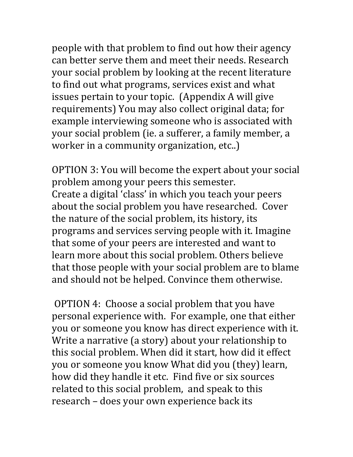people with that problem to find out how their agency can better serve them and meet their needs. Research your social problem by looking at the recent literature to find out what programs, services exist and what issues pertain to your topic. (Appendix A will give requirements) You may also collect original data; for example interviewing someone who is associated with your social problem (ie. a sufferer, a family member, a worker in a community organization, etc..)

OPTION 3: You will become the expert about your social problem among your peers this semester. Create a digital 'class' in which you teach your peers about the social problem you have researched. Cover the nature of the social problem, its history, its programs and services serving people with it. Imagine that some of your peers are interested and want to learn more about this social problem. Others believe that those people with your social problem are to blame and should not be helped. Convince them otherwise.

OPTION 4: Choose a social problem that you have personal experience with. For example, one that either you or someone you know has direct experience with it. Write a narrative (a story) about your relationship to this social problem. When did it start, how did it effect you or someone you know What did you (they) learn, how did they handle it etc. Find five or six sources related to this social problem, and speak to this research – does your own experience back its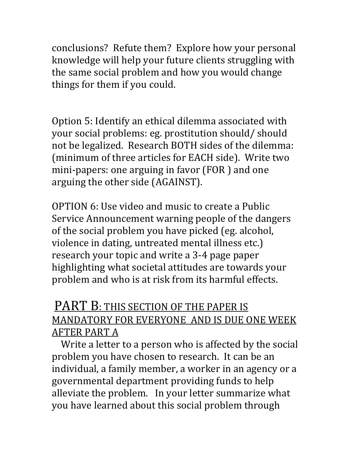conclusions? Refute them? Explore how your personal knowledge will help your future clients struggling with the same social problem and how you would change things for them if you could.

Option 5: Identify an ethical dilemma associated with your social problems: eg. prostitution should/ should not be legalized. Research BOTH sides of the dilemma: (minimum of three articles for EACH side). Write two mini-papers: one arguing in favor (FOR ) and one arguing the other side (AGAINST).

OPTION 6: Use video and music to create a Public Service Announcement warning people of the dangers of the social problem you have picked (eg. alcohol, violence in dating, untreated mental illness etc.) research your topic and write a 3-4 page paper highlighting what societal attitudes are towards your problem and who is at risk from its harmful effects.

## PART B: THIS SECTION OF THE PAPER IS MANDATORY FOR EVERYONE AND IS DUE ONE WEEK AFTER PART A

 Write a letter to a person who is affected by the social problem you have chosen to research. It can be an individual, a family member, a worker in an agency or a governmental department providing funds to help alleviate the problem. In your letter summarize what you have learned about this social problem through